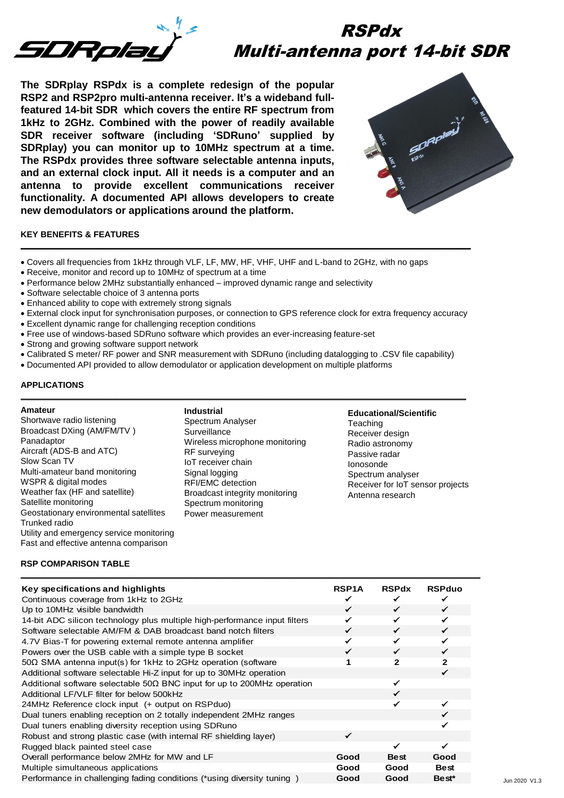

# RSPdx Multi-antenna port 14-bit SDR

**The SDRplay RSPdx is a complete redesign of the popular RSP2 and RSP2pro multi-antenna receiver. It's a wideband fullfeatured 14-bit SDR which covers the entire RF spectrum from 1kHz to 2GHz. Combined with the power of readily available SDR receiver software (including 'SDRuno' supplied by SDRplay) you can monitor up to 10MHz spectrum at a time. The RSPdx provides three software selectable antenna inputs, and an external clock input. All it needs is a computer and an antenna to provide excellent communications receiver functionality. A documented API allows developers to create new demodulators or applications around the platform.**



# **KEY BENEFITS & FEATURES**

- Covers all frequencies from 1kHz through VLF, LF, MW, HF, VHF, UHF and L-band to 2GHz, with no gaps
- Receive, monitor and record up to 10MHz of spectrum at a time
- Performance below 2MHz substantially enhanced improved dynamic range and selectivity
- Software selectable choice of 3 antenna ports
- Enhanced ability to cope with extremely strong signals
- External clock input for synchronisation purposes, or connection to GPS reference clock for extra frequency accuracy

**\_\_\_\_\_\_\_\_\_\_\_\_\_\_\_\_\_\_\_\_\_\_\_\_\_\_\_\_\_\_\_\_\_\_\_\_\_\_\_\_\_\_\_\_\_\_\_\_\_\_\_\_\_\_\_\_\_\_\_\_\_\_\_\_\_\_\_\_\_\_\_\_\_\_\_\_\_\_\_\_\_\_\_\_\_\_\_\_\_\_\_\_\_\_\_** 

- Excellent dynamic range for challenging reception conditions
- Free use of windows-based SDRuno software which provides an ever-increasing feature-set
- Strong and growing software support network
- Calibrated S meter/ RF power and SNR measurement with SDRuno (including datalogging to .CSV file capability)
- Documented API provided to allow demodulator or application development on multiple platforms

# **APPLICATIONS**

#### **Amateur**

Shortwave radio listening Broadcast DXing (AM/FM/TV ) Panadaptor Aircraft (ADS-B and ATC) Slow Scan TV Multi-amateur band monitoring WSPR & digital modes Weather fax (HF and satellite) Satellite monitoring Geostationary environmental satellites Trunked radio Utility and emergency service monitoring Fast and effective antenna comparison

**Industrial** Spectrum Analyser **Surveillance** Wireless microphone monitoring RF surveying IoT receiver chain Signal logging RFI/EMC detection Broadcast integrity monitoring Spectrum monitoring Power measurement

**\_\_\_\_\_\_\_\_\_\_\_\_\_\_\_\_\_\_\_\_\_\_\_\_\_\_\_\_\_\_\_\_\_\_\_\_\_\_\_\_\_\_\_\_\_\_\_\_\_\_\_\_\_\_\_\_\_\_\_\_\_\_\_\_\_\_\_\_\_\_\_\_\_\_\_\_\_\_\_\_\_\_\_\_\_\_\_\_\_\_\_\_\_\_** 

**Educational/Scientific Teaching** Receiver design Radio astronomy Passive radar Ionosonde Spectrum analyser Receiver for IoT sensor projects Antenna research

#### **RSP COMPARISON TABLE**

| Key specifications and highlights                                               | <b>RSP1A</b> | <b>RSPdx</b> | <b>RSPduo</b>     |
|---------------------------------------------------------------------------------|--------------|--------------|-------------------|
| Continuous coverage from 1kHz to 2GHz                                           |              |              |                   |
| Up to 10MHz visible bandwidth                                                   | ✓            | ✓            | ✓                 |
| 14-bit ADC silicon technology plus multiple high-performance input filters      |              |              |                   |
| Software selectable AM/FM & DAB broadcast band notch filters                    |              | $\checkmark$ |                   |
| 4.7V Bias-T for powering external remote antenna amplifier                      |              |              |                   |
| Powers over the USB cable with a simple type B socket                           |              | ✓            | ✓                 |
| $50\Omega$ SMA antenna input(s) for 1kHz to 2GHz operation (software            |              | 2            | 2                 |
| Additional software selectable Hi-Z input for up to 30MHz operation             |              |              |                   |
| Additional software selectable 50 $\Omega$ BNC input for up to 200MHz operation |              |              |                   |
| Additional LF/VLF filter for below 500kHz                                       |              |              |                   |
| 24MHz Reference clock input (+ output on RSPduo)                                |              |              |                   |
| Dual tuners enabling reception on 2 totally independent 2MHz ranges             |              |              |                   |
| Dual tuners enabling diversity reception using SDRuno                           |              |              |                   |
| Robust and strong plastic case (with internal RF shielding layer)               | ✓            |              |                   |
| Rugged black painted steel case                                                 |              |              |                   |
| Overall performance below 2MHz for MW and LF                                    | Good         | <b>Best</b>  | Good              |
| Multiple simultaneous applications                                              | Good         | Good         | <b>Best</b>       |
| Performance in challenging fading conditions (*using diversity tuning )         | Good         | Good         | Best <sup>*</sup> |